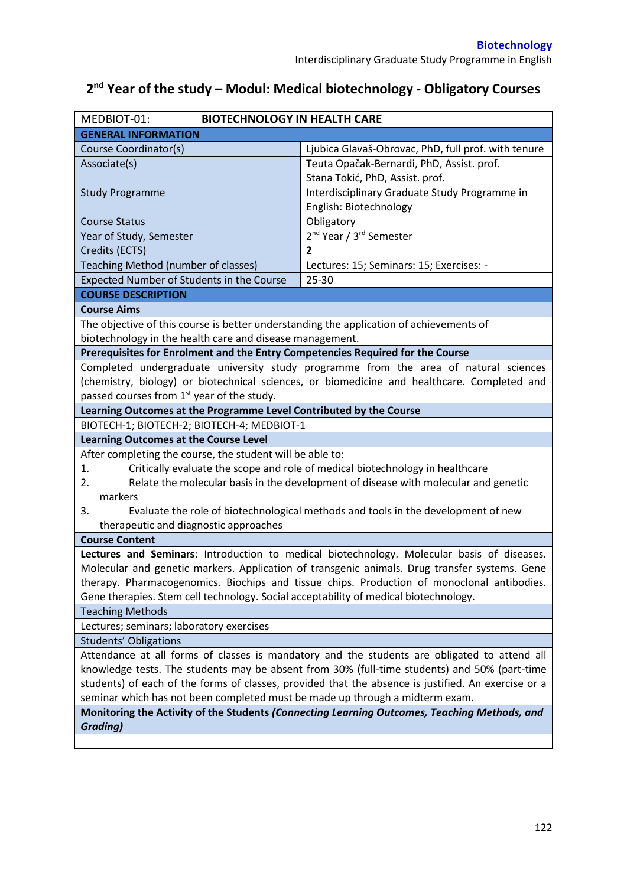| MEDBIOT-01:<br><b>BIOTECHNOLOGY IN HEALTH CARE</b>                                                  |                                                                                               |  |  |  |
|-----------------------------------------------------------------------------------------------------|-----------------------------------------------------------------------------------------------|--|--|--|
| <b>GENERAL INFORMATION</b>                                                                          |                                                                                               |  |  |  |
| Course Coordinator(s)                                                                               | Ljubica Glavaš-Obrovac, PhD, full prof. with tenure                                           |  |  |  |
| Associate(s)                                                                                        | Teuta Opačak-Bernardi, PhD, Assist. prof.                                                     |  |  |  |
|                                                                                                     | Stana Tokić, PhD, Assist. prof.                                                               |  |  |  |
| <b>Study Programme</b>                                                                              | Interdisciplinary Graduate Study Programme in                                                 |  |  |  |
|                                                                                                     | English: Biotechnology                                                                        |  |  |  |
| <b>Course Status</b>                                                                                | Obligatory                                                                                    |  |  |  |
| Year of Study, Semester                                                                             | 2 <sup>nd</sup> Year / 3 <sup>rd</sup> Semester                                               |  |  |  |
| Credits (ECTS)                                                                                      | $\overline{2}$                                                                                |  |  |  |
| Teaching Method (number of classes)                                                                 | Lectures: 15; Seminars: 15; Exercises: -                                                      |  |  |  |
| Expected Number of Students in the Course                                                           | 25-30                                                                                         |  |  |  |
| <b>COURSE DESCRIPTION</b>                                                                           |                                                                                               |  |  |  |
| <b>Course Aims</b>                                                                                  |                                                                                               |  |  |  |
| The objective of this course is better understanding the application of achievements of             |                                                                                               |  |  |  |
| biotechnology in the health care and disease management.                                            |                                                                                               |  |  |  |
| Prerequisites for Enrolment and the Entry Competencies Required for the Course                      |                                                                                               |  |  |  |
|                                                                                                     | Completed undergraduate university study programme from the area of natural sciences          |  |  |  |
|                                                                                                     | (chemistry, biology) or biotechnical sciences, or biomedicine and healthcare. Completed and   |  |  |  |
| passed courses from 1 <sup>st</sup> year of the study.                                              |                                                                                               |  |  |  |
| Learning Outcomes at the Programme Level Contributed by the Course                                  |                                                                                               |  |  |  |
| BIOTECH-1; BIOTECH-2; BIOTECH-4; MEDBIOT-1                                                          |                                                                                               |  |  |  |
| <b>Learning Outcomes at the Course Level</b>                                                        |                                                                                               |  |  |  |
| After completing the course, the student will be able to:                                           |                                                                                               |  |  |  |
| Critically evaluate the scope and role of medical biotechnology in healthcare<br>1.                 |                                                                                               |  |  |  |
| 2.                                                                                                  | Relate the molecular basis in the development of disease with molecular and genetic           |  |  |  |
| markers                                                                                             |                                                                                               |  |  |  |
| 3.<br>Evaluate the role of biotechnological methods and tools in the development of new             |                                                                                               |  |  |  |
| therapeutic and diagnostic approaches                                                               |                                                                                               |  |  |  |
| <b>Course Content</b>                                                                               |                                                                                               |  |  |  |
|                                                                                                     | Lectures and Seminars: Introduction to medical biotechnology. Molecular basis of diseases.    |  |  |  |
|                                                                                                     | Molecular and genetic markers. Application of transgenic animals. Drug transfer systems. Gene |  |  |  |
| therapy. Pharmacogenomics. Biochips and tissue chips. Production of monoclonal antibodies.          |                                                                                               |  |  |  |
| Gene therapies. Stem cell technology. Social acceptability of medical biotechnology.                |                                                                                               |  |  |  |
| <b>Teaching Methods</b>                                                                             |                                                                                               |  |  |  |
| Lectures; seminars; laboratory exercises                                                            |                                                                                               |  |  |  |
| <b>Students' Obligations</b>                                                                        |                                                                                               |  |  |  |
| Attendance at all forms of classes is mandatory and the students are obligated to attend all        |                                                                                               |  |  |  |
| knowledge tests. The students may be absent from 30% (full-time students) and 50% (part-time        |                                                                                               |  |  |  |
| students) of each of the forms of classes, provided that the absence is justified. An exercise or a |                                                                                               |  |  |  |
| seminar which has not been completed must be made up through a midterm exam.                        |                                                                                               |  |  |  |
| Monitoring the Activity of the Students (Connecting Learning Outcomes, Teaching Methods, and        |                                                                                               |  |  |  |
| <b>Grading)</b>                                                                                     |                                                                                               |  |  |  |
|                                                                                                     |                                                                                               |  |  |  |

# **2 nd Year of the study – Modul: Medical biotechnology - Obligatory Courses**